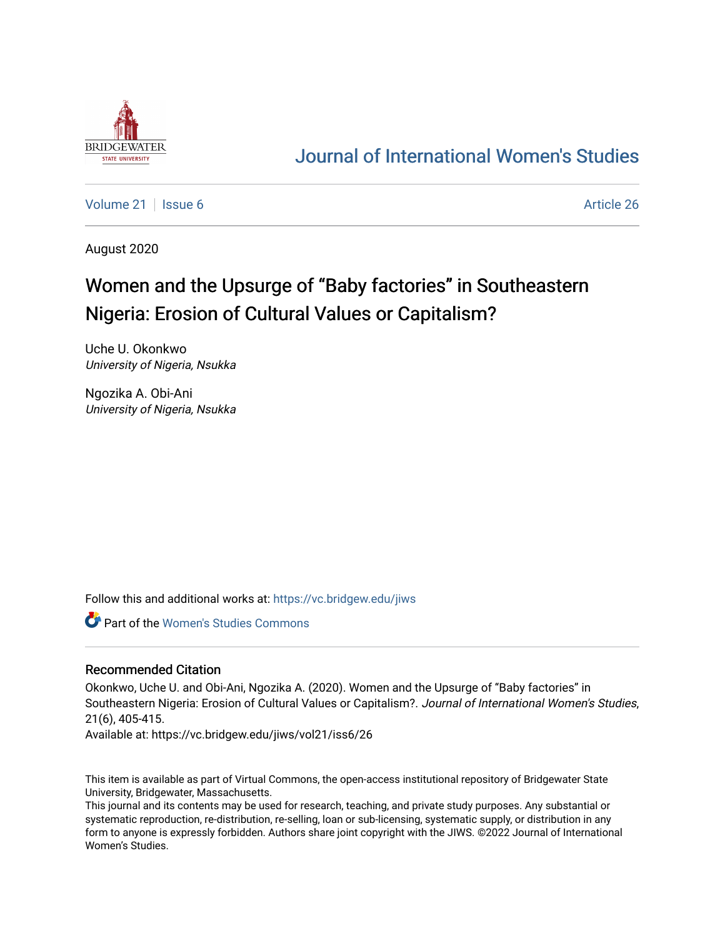

# [Journal of International Women's Studies](https://vc.bridgew.edu/jiws)

[Volume 21](https://vc.bridgew.edu/jiws/vol21) | [Issue 6](https://vc.bridgew.edu/jiws/vol21/iss6) Article 26

August 2020

# Women and the Upsurge of "Baby factories" in Southeastern Nigeria: Erosion of Cultural Values or Capitalism?

Uche U. Okonkwo University of Nigeria, Nsukka

Ngozika A. Obi-Ani University of Nigeria, Nsukka

Follow this and additional works at: [https://vc.bridgew.edu/jiws](https://vc.bridgew.edu/jiws?utm_source=vc.bridgew.edu%2Fjiws%2Fvol21%2Fiss6%2F26&utm_medium=PDF&utm_campaign=PDFCoverPages)

Part of the [Women's Studies Commons](http://network.bepress.com/hgg/discipline/561?utm_source=vc.bridgew.edu%2Fjiws%2Fvol21%2Fiss6%2F26&utm_medium=PDF&utm_campaign=PDFCoverPages) 

#### Recommended Citation

Okonkwo, Uche U. and Obi-Ani, Ngozika A. (2020). Women and the Upsurge of ''Baby factories'' in Southeastern Nigeria: Erosion of Cultural Values or Capitalism?. Journal of International Women's Studies, 21(6), 405-415.

Available at: https://vc.bridgew.edu/jiws/vol21/iss6/26

This item is available as part of Virtual Commons, the open-access institutional repository of Bridgewater State University, Bridgewater, Massachusetts.

This journal and its contents may be used for research, teaching, and private study purposes. Any substantial or systematic reproduction, re-distribution, re-selling, loan or sub-licensing, systematic supply, or distribution in any form to anyone is expressly forbidden. Authors share joint copyright with the JIWS. ©2022 Journal of International Women's Studies.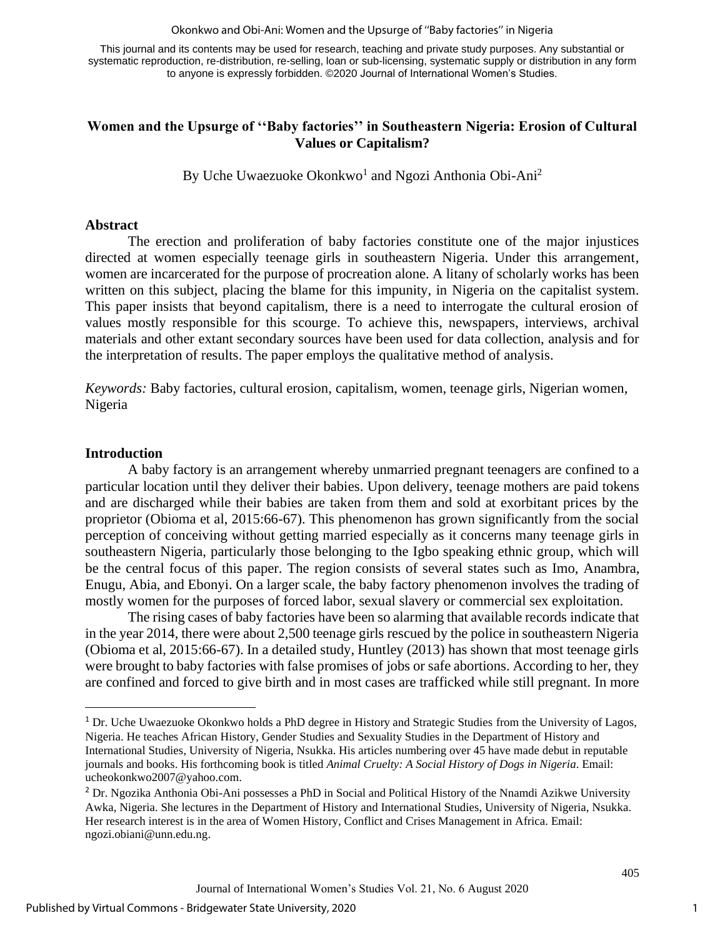Okonkwo and Obi-Ani: Women and the Upsurge of ''Baby factories'' in Nigeria

This journal and its contents may be used for research, teaching and private study purposes. Any substantial or systematic reproduction, re-distribution, re-selling, loan or sub-licensing, systematic supply or distribution in any form to anyone is expressly forbidden. ©2020 Journal of International Women's Studies.

# **Women and the Upsurge of ''Baby factories'' in Southeastern Nigeria: Erosion of Cultural Values or Capitalism?**

By Uche Uwaezuoke Okonkwo<sup>1</sup> and Ngozi Anthonia Obi-Ani<sup>2</sup>

#### **Abstract**

The erection and proliferation of baby factories constitute one of the major injustices directed at women especially teenage girls in southeastern Nigeria. Under this arrangement, women are incarcerated for the purpose of procreation alone. A litany of scholarly works has been written on this subject, placing the blame for this impunity, in Nigeria on the capitalist system. This paper insists that beyond capitalism, there is a need to interrogate the cultural erosion of values mostly responsible for this scourge. To achieve this, newspapers, interviews, archival materials and other extant secondary sources have been used for data collection, analysis and for the interpretation of results. The paper employs the qualitative method of analysis.

*Keywords:* Baby factories, cultural erosion, capitalism, women, teenage girls, Nigerian women, Nigeria

### **Introduction**

A baby factory is an arrangement whereby unmarried pregnant teenagers are confined to a particular location until they deliver their babies. Upon delivery, teenage mothers are paid tokens and are discharged while their babies are taken from them and sold at exorbitant prices by the proprietor (Obioma et al, 2015:66-67). This phenomenon has grown significantly from the social perception of conceiving without getting married especially as it concerns many teenage girls in southeastern Nigeria, particularly those belonging to the Igbo speaking ethnic group, which will be the central focus of this paper. The region consists of several states such as Imo, Anambra, Enugu, Abia, and Ebonyi. On a larger scale, the baby factory phenomenon involves the trading of mostly women for the purposes of forced labor, sexual slavery or commercial sex exploitation.

The rising cases of baby factories have been so alarming that available records indicate that in the year 2014, there were about 2,500 teenage girls rescued by the police in southeastern Nigeria (Obioma et al, 2015:66-67). In a detailed study, Huntley (2013) has shown that most teenage girls were brought to baby factories with false promises of jobs or safe abortions. According to her, they are confined and forced to give birth and in most cases are trafficked while still pregnant. In more

<sup>1</sup> Dr. Uche Uwaezuoke Okonkwo holds a PhD degree in History and Strategic Studies from the University of Lagos, Nigeria. He teaches African History, Gender Studies and Sexuality Studies in the Department of History and International Studies, University of Nigeria, Nsukka. His articles numbering over 45 have made debut in reputable journals and books. His forthcoming book is titled *Animal Cruelty: A Social History of Dogs in Nigeria*. Email: [ucheokonkwo2007@yahoo.com.](mailto:ucheokonkwo2007@yahoo.com)

<sup>&</sup>lt;sup>2</sup> Dr. Ngozika Anthonia Obi-Ani possesses a PhD in Social and Political History of the Nnamdi Azikwe University Awka, Nigeria. She lectures in the Department of History and International Studies, University of Nigeria, Nsukka. Her research interest is in the area of Women History, Conflict and Crises Management in Africa. Email: [ngozi.obiani@unn.edu.ng.](mailto:ngozi.obiani@unn.edu.ng)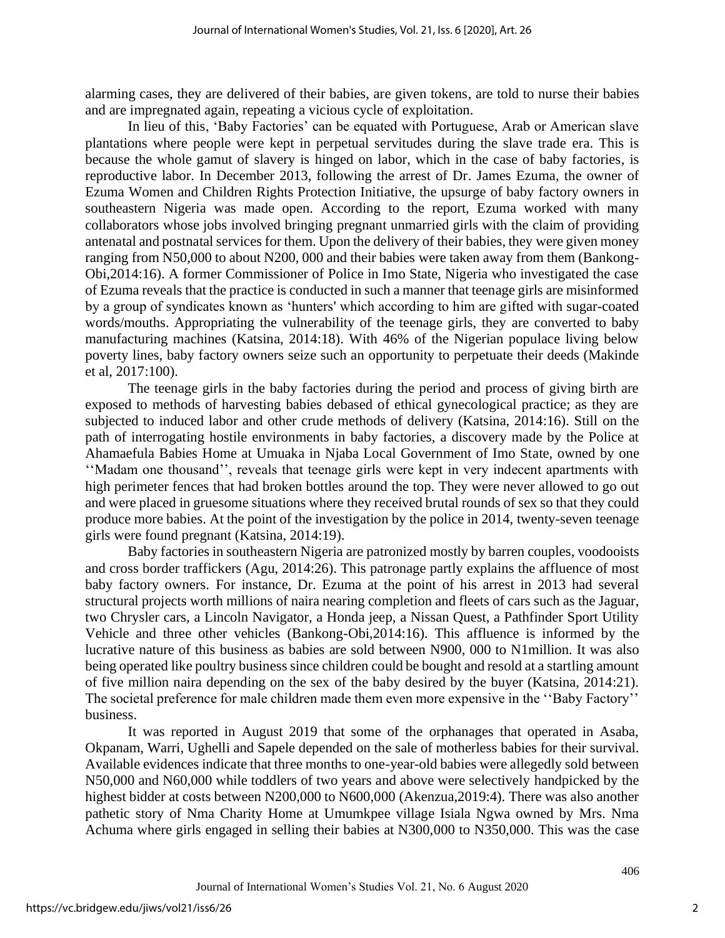alarming cases, they are delivered of their babies, are given tokens, are told to nurse their babies and are impregnated again, repeating a vicious cycle of exploitation.

In lieu of this, 'Baby Factories' can be equated with Portuguese, Arab or American slave plantations where people were kept in perpetual servitudes during the slave trade era. This is because the whole gamut of slavery is hinged on labor, which in the case of baby factories, is reproductive labor. In December 2013, following the arrest of Dr. James Ezuma, the owner of Ezuma Women and Children Rights Protection Initiative, the upsurge of baby factory owners in southeastern Nigeria was made open. According to the report, Ezuma worked with many collaborators whose jobs involved bringing pregnant unmarried girls with the claim of providing antenatal and postnatal services for them. Upon the delivery of their babies, they were given money ranging from N50,000 to about N200, 000 and their babies were taken away from them (Bankong-Obi,2014:16). A former Commissioner of Police in Imo State, Nigeria who investigated the case of Ezuma reveals that the practice is conducted in such a manner that teenage girls are misinformed by a group of syndicates known as 'hunters' which according to him are gifted with sugar-coated words/mouths. Appropriating the vulnerability of the teenage girls, they are converted to baby manufacturing machines (Katsina, 2014:18). With 46% of the Nigerian populace living below poverty lines, baby factory owners seize such an opportunity to perpetuate their deeds (Makinde et al, 2017:100).

The teenage girls in the baby factories during the period and process of giving birth are exposed to methods of harvesting babies debased of ethical gynecological practice; as they are subjected to induced labor and other crude methods of delivery (Katsina, 2014:16). Still on the path of interrogating hostile environments in baby factories, a discovery made by the Police at Ahamaefula Babies Home at Umuaka in Njaba Local Government of Imo State, owned by one ''Madam one thousand'', reveals that teenage girls were kept in very indecent apartments with high perimeter fences that had broken bottles around the top. They were never allowed to go out and were placed in gruesome situations where they received brutal rounds of sex so that they could produce more babies. At the point of the investigation by the police in 2014, twenty-seven teenage girls were found pregnant (Katsina, 2014:19).

Baby factories in southeastern Nigeria are patronized mostly by barren couples, voodooists and cross border traffickers (Agu, 2014:26). This patronage partly explains the affluence of most baby factory owners. For instance, Dr. Ezuma at the point of his arrest in 2013 had several structural projects worth millions of naira nearing completion and fleets of cars such as the Jaguar, two Chrysler cars, a Lincoln Navigator, a Honda jeep, a Nissan Quest, a Pathfinder Sport Utility Vehicle and three other vehicles (Bankong-Obi,2014:16). This affluence is informed by the lucrative nature of this business as babies are sold between N900, 000 to N1million. It was also being operated like poultry business since children could be bought and resold at a startling amount of five million naira depending on the sex of the baby desired by the buyer (Katsina, 2014:21). The societal preference for male children made them even more expensive in the ''Baby Factory'' business.

It was reported in August 2019 that some of the orphanages that operated in Asaba, Okpanam, Warri, Ughelli and Sapele depended on the sale of motherless babies for their survival. Available evidences indicate that three months to one-year-old babies were allegedly sold between N50,000 and N60,000 while toddlers of two years and above were selectively handpicked by the highest bidder at costs between N200,000 to N600,000 (Akenzua,2019:4). There was also another pathetic story of Nma Charity Home at Umumkpee village Isiala Ngwa owned by Mrs. Nma Achuma where girls engaged in selling their babies at N300,000 to N350,000. This was the case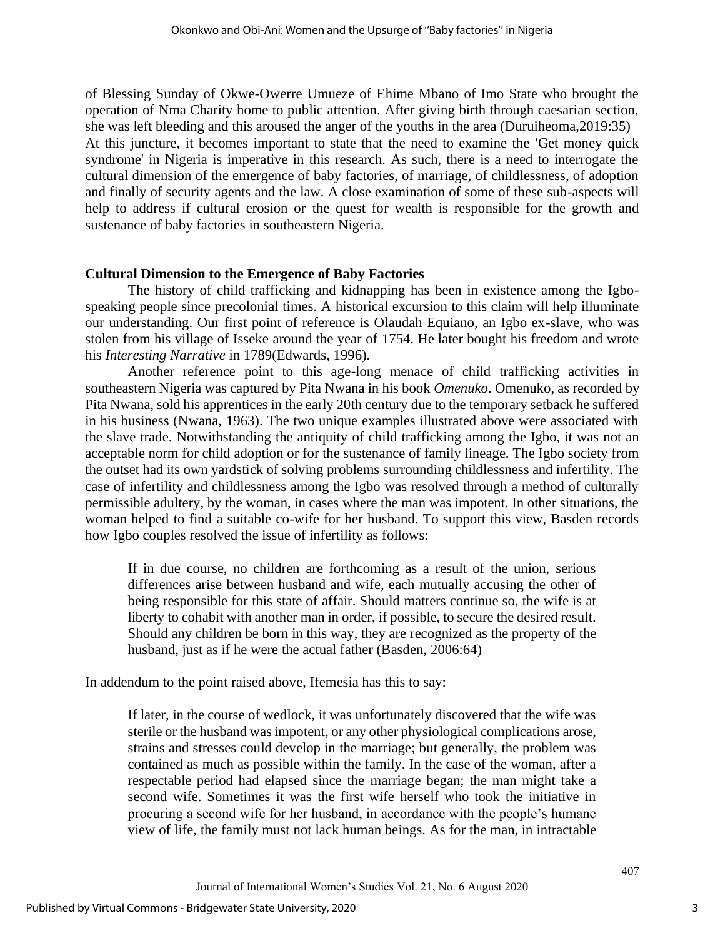of Blessing Sunday of Okwe-Owerre Umueze of Ehime Mbano of Imo State who brought the operation of Nma Charity home to public attention. After giving birth through caesarian section, she was left bleeding and this aroused the anger of the youths in the area (Duruiheoma,2019:35) At this juncture, it becomes important to state that the need to examine the 'Get money quick syndrome' in Nigeria is imperative in this research. As such, there is a need to interrogate the cultural dimension of the emergence of baby factories, of marriage, of childlessness, of adoption and finally of security agents and the law. A close examination of some of these sub-aspects will help to address if cultural erosion or the quest for wealth is responsible for the growth and sustenance of baby factories in southeastern Nigeria.

## **Cultural Dimension to the Emergence of Baby Factories**

The history of child trafficking and kidnapping has been in existence among the Igbospeaking people since precolonial times. A historical excursion to this claim will help illuminate our understanding. Our first point of reference is Olaudah Equiano, an Igbo ex-slave, who was stolen from his village of Isseke around the year of 1754. He later bought his freedom and wrote his *Interesting Narrative* in 1789(Edwards, 1996).

Another reference point to this age-long menace of child trafficking activities in southeastern Nigeria was captured by Pita Nwana in his book *Omenuko*. Omenuko, as recorded by Pita Nwana, sold his apprentices in the early 20th century due to the temporary setback he suffered in his business (Nwana, 1963). The two unique examples illustrated above were associated with the slave trade. Notwithstanding the antiquity of child trafficking among the Igbo, it was not an acceptable norm for child adoption or for the sustenance of family lineage. The Igbo society from the outset had its own yardstick of solving problems surrounding childlessness and infertility. The case of infertility and childlessness among the Igbo was resolved through a method of culturally permissible adultery, by the woman, in cases where the man was impotent. In other situations, the woman helped to find a suitable co-wife for her husband. To support this view, Basden records how Igbo couples resolved the issue of infertility as follows:

If in due course, no children are forthcoming as a result of the union, serious differences arise between husband and wife, each mutually accusing the other of being responsible for this state of affair. Should matters continue so, the wife is at liberty to cohabit with another man in order, if possible, to secure the desired result. Should any children be born in this way, they are recognized as the property of the husband, just as if he were the actual father (Basden, 2006:64)

In addendum to the point raised above, Ifemesia has this to say:

If later, in the course of wedlock, it was unfortunately discovered that the wife was sterile or the husband was impotent, or any other physiological complications arose, strains and stresses could develop in the marriage; but generally, the problem was contained as much as possible within the family. In the case of the woman, after a respectable period had elapsed since the marriage began; the man might take a second wife. Sometimes it was the first wife herself who took the initiative in procuring a second wife for her husband, in accordance with the people's humane view of life, the family must not lack human beings. As for the man, in intractable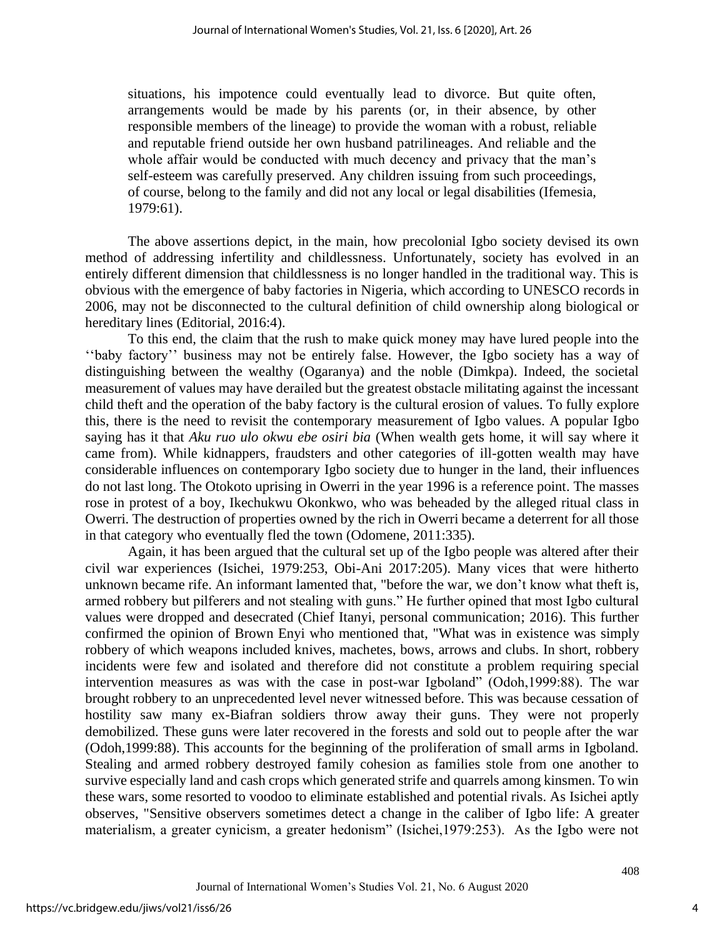situations, his impotence could eventually lead to divorce. But quite often, arrangements would be made by his parents (or, in their absence, by other responsible members of the lineage) to provide the woman with a robust, reliable and reputable friend outside her own husband patrilineages. And reliable and the whole affair would be conducted with much decency and privacy that the man's self-esteem was carefully preserved. Any children issuing from such proceedings, of course, belong to the family and did not any local or legal disabilities (Ifemesia, 1979:61).

The above assertions depict, in the main, how precolonial Igbo society devised its own method of addressing infertility and childlessness. Unfortunately, society has evolved in an entirely different dimension that childlessness is no longer handled in the traditional way. This is obvious with the emergence of baby factories in Nigeria, which according to UNESCO records in 2006, may not be disconnected to the cultural definition of child ownership along biological or hereditary lines (Editorial, 2016:4).

To this end, the claim that the rush to make quick money may have lured people into the ''baby factory'' business may not be entirely false. However, the Igbo society has a way of distinguishing between the wealthy (Ogaranya) and the noble (Dimkpa). Indeed, the societal measurement of values may have derailed but the greatest obstacle militating against the incessant child theft and the operation of the baby factory is the cultural erosion of values. To fully explore this, there is the need to revisit the contemporary measurement of Igbo values. A popular Igbo saying has it that *Aku ruo ulo okwu ebe osiri bia* (When wealth gets home, it will say where it came from). While kidnappers, fraudsters and other categories of ill-gotten wealth may have considerable influences on contemporary Igbo society due to hunger in the land, their influences do not last long. The Otokoto uprising in Owerri in the year 1996 is a reference point. The masses rose in protest of a boy, Ikechukwu Okonkwo, who was beheaded by the alleged ritual class in Owerri. The destruction of properties owned by the rich in Owerri became a deterrent for all those in that category who eventually fled the town (Odomene, 2011:335).

Again, it has been argued that the cultural set up of the Igbo people was altered after their civil war experiences (Isichei, 1979:253, Obi-Ani 2017:205). Many vices that were hitherto unknown became rife. An informant lamented that, "before the war, we don't know what theft is, armed robbery but pilferers and not stealing with guns." He further opined that most Igbo cultural values were dropped and desecrated (Chief Itanyi, personal communication; 2016). This further confirmed the opinion of Brown Enyi who mentioned that, "What was in existence was simply robbery of which weapons included knives, machetes, bows, arrows and clubs. In short, robbery incidents were few and isolated and therefore did not constitute a problem requiring special intervention measures as was with the case in post-war Igboland" (Odoh,1999:88). The war brought robbery to an unprecedented level never witnessed before. This was because cessation of hostility saw many ex-Biafran soldiers throw away their guns. They were not properly demobilized. These guns were later recovered in the forests and sold out to people after the war (Odoh,1999:88). This accounts for the beginning of the proliferation of small arms in Igboland. Stealing and armed robbery destroyed family cohesion as families stole from one another to survive especially land and cash crops which generated strife and quarrels among kinsmen. To win these wars, some resorted to voodoo to eliminate established and potential rivals. As Isichei aptly observes, "Sensitive observers sometimes detect a change in the caliber of Igbo life: A greater materialism, a greater cynicism, a greater hedonism" (Isichei,1979:253). As the Igbo were not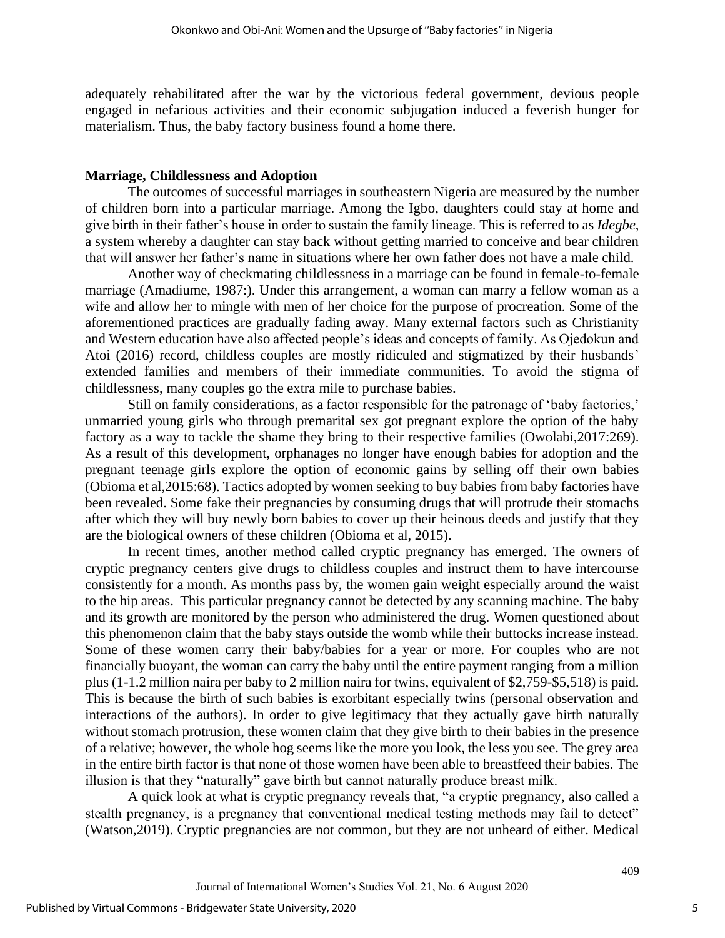adequately rehabilitated after the war by the victorious federal government, devious people engaged in nefarious activities and their economic subjugation induced a feverish hunger for materialism. Thus, the baby factory business found a home there.

#### **Marriage, Childlessness and Adoption**

The outcomes of successful marriages in southeastern Nigeria are measured by the number of children born into a particular marriage. Among the Igbo, daughters could stay at home and give birth in their father's house in order to sustain the family lineage. This is referred to as *Idegbe*, a system whereby a daughter can stay back without getting married to conceive and bear children that will answer her father's name in situations where her own father does not have a male child.

Another way of checkmating childlessness in a marriage can be found in female-to-female marriage (Amadiume, 1987:). Under this arrangement, a woman can marry a fellow woman as a wife and allow her to mingle with men of her choice for the purpose of procreation. Some of the aforementioned practices are gradually fading away. Many external factors such as Christianity and Western education have also affected people's ideas and concepts of family. As Ojedokun and Atoi (2016) record, childless couples are mostly ridiculed and stigmatized by their husbands' extended families and members of their immediate communities. To avoid the stigma of childlessness, many couples go the extra mile to purchase babies.

Still on family considerations, as a factor responsible for the patronage of 'baby factories,' unmarried young girls who through premarital sex got pregnant explore the option of the baby factory as a way to tackle the shame they bring to their respective families (Owolabi,2017:269). As a result of this development, orphanages no longer have enough babies for adoption and the pregnant teenage girls explore the option of economic gains by selling off their own babies (Obioma et al,2015:68). Tactics adopted by women seeking to buy babies from baby factories have been revealed. Some fake their pregnancies by consuming drugs that will protrude their stomachs after which they will buy newly born babies to cover up their heinous deeds and justify that they are the biological owners of these children (Obioma et al, 2015).

In recent times, another method called cryptic pregnancy has emerged. The owners of cryptic pregnancy centers give drugs to childless couples and instruct them to have intercourse consistently for a month. As months pass by, the women gain weight especially around the waist to the hip areas. This particular pregnancy cannot be detected by any scanning machine. The baby and its growth are monitored by the person who administered the drug. Women questioned about this phenomenon claim that the baby stays outside the womb while their buttocks increase instead. Some of these women carry their baby/babies for a year or more. For couples who are not financially buoyant, the woman can carry the baby until the entire payment ranging from a million plus (1-1.2 million naira per baby to 2 million naira for twins, equivalent of \$2,759-\$5,518) is paid. This is because the birth of such babies is exorbitant especially twins (personal observation and interactions of the authors). In order to give legitimacy that they actually gave birth naturally without stomach protrusion, these women claim that they give birth to their babies in the presence of a relative; however, the whole hog seems like the more you look, the less you see. The grey area in the entire birth factor is that none of those women have been able to breastfeed their babies. The illusion is that they "naturally" gave birth but cannot naturally produce breast milk.

A quick look at what is cryptic pregnancy reveals that, "a cryptic pregnancy, also called a stealth pregnancy, is a pregnancy that conventional medical testing methods may fail to detect" (Watson,2019). Cryptic pregnancies are not common, but they are not unheard of either. Medical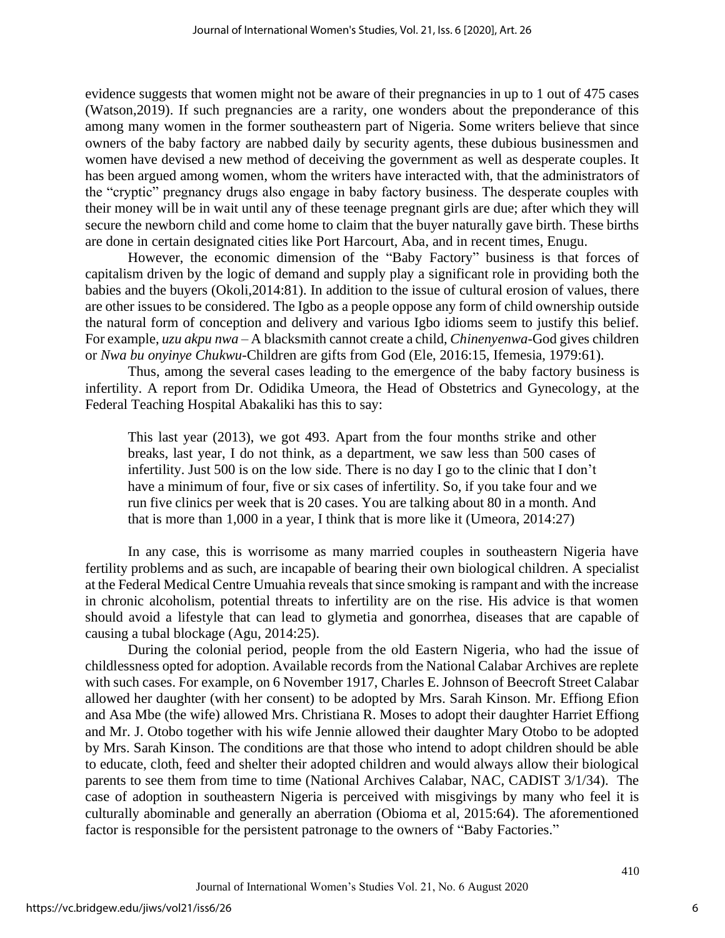evidence suggests that women might not be aware of their pregnancies in up to 1 out of 475 cases (Watson,2019). If such pregnancies are a rarity, one wonders about the preponderance of this among many women in the former southeastern part of Nigeria. Some writers believe that since owners of the baby factory are nabbed daily by security agents, these dubious businessmen and women have devised a new method of deceiving the government as well as desperate couples. It has been argued among women, whom the writers have interacted with, that the administrators of the "cryptic" pregnancy drugs also engage in baby factory business. The desperate couples with their money will be in wait until any of these teenage pregnant girls are due; after which they will secure the newborn child and come home to claim that the buyer naturally gave birth. These births are done in certain designated cities like Port Harcourt, Aba, and in recent times, Enugu.

However, the economic dimension of the "Baby Factory" business is that forces of capitalism driven by the logic of demand and supply play a significant role in providing both the babies and the buyers (Okoli,2014:81). In addition to the issue of cultural erosion of values, there are other issues to be considered. The Igbo as a people oppose any form of child ownership outside the natural form of conception and delivery and various Igbo idioms seem to justify this belief. For example, *uzu akpu nwa* – A blacksmith cannot create a child, *Chinenyenwa*-God gives children or *Nwa bu onyinye Chukwu*-Children are gifts from God (Ele, 2016:15, Ifemesia, 1979:61).

Thus, among the several cases leading to the emergence of the baby factory business is infertility. A report from Dr. Odidika Umeora, the Head of Obstetrics and Gynecology, at the Federal Teaching Hospital Abakaliki has this to say:

This last year (2013), we got 493. Apart from the four months strike and other breaks, last year, I do not think, as a department, we saw less than 500 cases of infertility. Just 500 is on the low side. There is no day I go to the clinic that I don't have a minimum of four, five or six cases of infertility. So, if you take four and we run five clinics per week that is 20 cases. You are talking about 80 in a month. And that is more than 1,000 in a year, I think that is more like it (Umeora, 2014:27)

In any case, this is worrisome as many married couples in southeastern Nigeria have fertility problems and as such, are incapable of bearing their own biological children. A specialist at the Federal Medical Centre Umuahia reveals that since smoking is rampant and with the increase in chronic alcoholism, potential threats to infertility are on the rise. His advice is that women should avoid a lifestyle that can lead to glymetia and gonorrhea, diseases that are capable of causing a tubal blockage (Agu, 2014:25).

During the colonial period, people from the old Eastern Nigeria, who had the issue of childlessness opted for adoption. Available records from the National Calabar Archives are replete with such cases. For example, on 6 November 1917, Charles E. Johnson of Beecroft Street Calabar allowed her daughter (with her consent) to be adopted by Mrs. Sarah Kinson. Mr. Effiong Efion and Asa Mbe (the wife) allowed Mrs. Christiana R. Moses to adopt their daughter Harriet Effiong and Mr. J. Otobo together with his wife Jennie allowed their daughter Mary Otobo to be adopted by Mrs. Sarah Kinson. The conditions are that those who intend to adopt children should be able to educate, cloth, feed and shelter their adopted children and would always allow their biological parents to see them from time to time (National Archives Calabar, NAC, CADIST 3/1/34). The case of adoption in southeastern Nigeria is perceived with misgivings by many who feel it is culturally abominable and generally an aberration (Obioma et al, 2015:64). The aforementioned factor is responsible for the persistent patronage to the owners of "Baby Factories."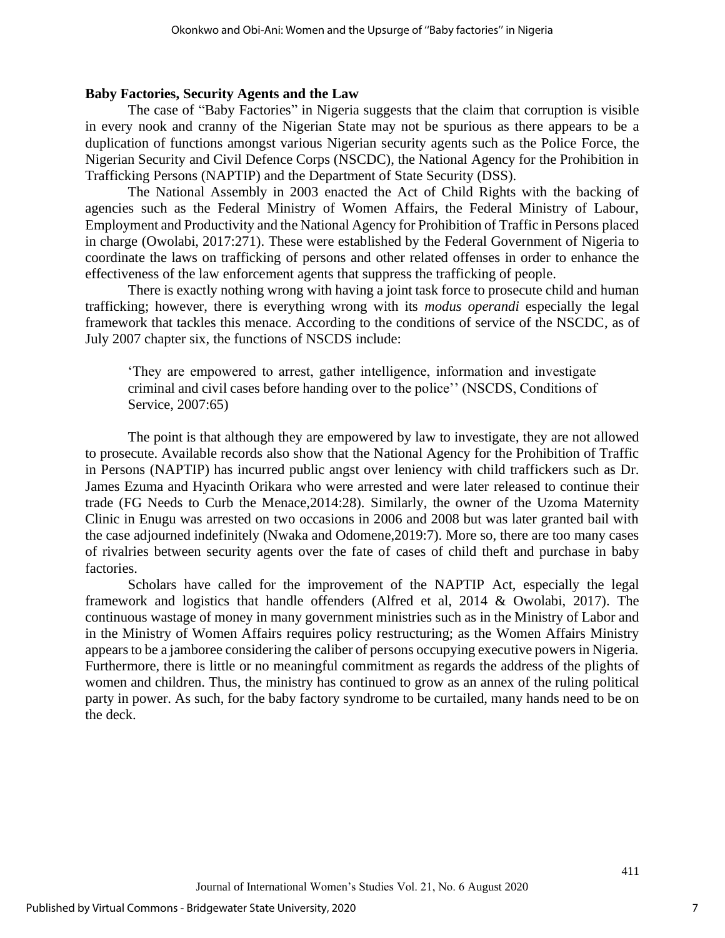#### **Baby Factories, Security Agents and the Law**

The case of "Baby Factories" in Nigeria suggests that the claim that corruption is visible in every nook and cranny of the Nigerian State may not be spurious as there appears to be a duplication of functions amongst various Nigerian security agents such as the Police Force, the Nigerian Security and Civil Defence Corps (NSCDC), the National Agency for the Prohibition in Trafficking Persons (NAPTIP) and the Department of State Security (DSS).

The National Assembly in 2003 enacted the Act of Child Rights with the backing of agencies such as the Federal Ministry of Women Affairs, the Federal Ministry of Labour, Employment and Productivity and the National Agency for Prohibition of Traffic in Persons placed in charge (Owolabi, 2017:271). These were established by the Federal Government of Nigeria to coordinate the laws on trafficking of persons and other related offenses in order to enhance the effectiveness of the law enforcement agents that suppress the trafficking of people.

There is exactly nothing wrong with having a joint task force to prosecute child and human trafficking; however, there is everything wrong with its *modus operandi* especially the legal framework that tackles this menace. According to the conditions of service of the NSCDC, as of July 2007 chapter six, the functions of NSCDS include:

'They are empowered to arrest, gather intelligence, information and investigate criminal and civil cases before handing over to the police'' (NSCDS, Conditions of Service, 2007:65)

The point is that although they are empowered by law to investigate, they are not allowed to prosecute. Available records also show that the National Agency for the Prohibition of Traffic in Persons (NAPTIP) has incurred public angst over leniency with child traffickers such as Dr. James Ezuma and Hyacinth Orikara who were arrested and were later released to continue their trade (FG Needs to Curb the Menace,2014:28). Similarly, the owner of the Uzoma Maternity Clinic in Enugu was arrested on two occasions in 2006 and 2008 but was later granted bail with the case adjourned indefinitely (Nwaka and Odomene,2019:7). More so, there are too many cases of rivalries between security agents over the fate of cases of child theft and purchase in baby factories.

Scholars have called for the improvement of the NAPTIP Act, especially the legal framework and logistics that handle offenders (Alfred et al, 2014 & Owolabi, 2017). The continuous wastage of money in many government ministries such as in the Ministry of Labor and in the Ministry of Women Affairs requires policy restructuring; as the Women Affairs Ministry appears to be a jamboree considering the caliber of persons occupying executive powers in Nigeria. Furthermore, there is little or no meaningful commitment as regards the address of the plights of women and children. Thus, the ministry has continued to grow as an annex of the ruling political party in power. As such, for the baby factory syndrome to be curtailed, many hands need to be on the deck.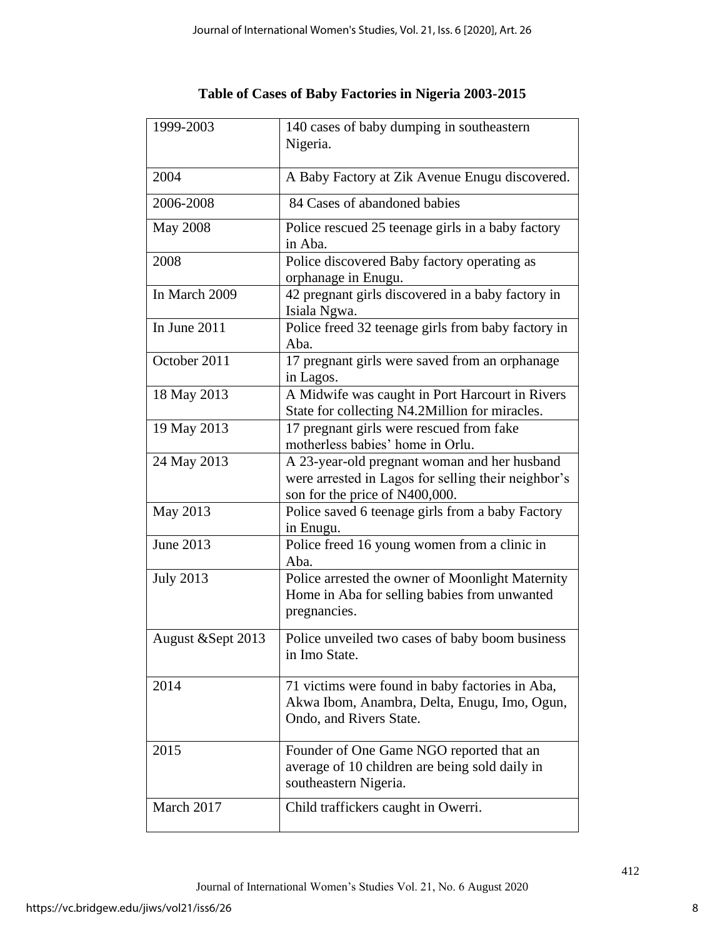| 1999-2003          | 140 cases of baby dumping in southeastern                         |
|--------------------|-------------------------------------------------------------------|
|                    | Nigeria.                                                          |
|                    |                                                                   |
| 2004               | A Baby Factory at Zik Avenue Enugu discovered.                    |
| 2006-2008          | 84 Cases of abandoned babies                                      |
| <b>May 2008</b>    | Police rescued 25 teenage girls in a baby factory                 |
|                    | in Aba.                                                           |
| 2008               | Police discovered Baby factory operating as                       |
|                    | orphanage in Enugu.                                               |
| In March 2009      | 42 pregnant girls discovered in a baby factory in<br>Isiala Ngwa. |
| In June 2011       | Police freed 32 teenage girls from baby factory in                |
|                    | Aba.                                                              |
| October 2011       | 17 pregnant girls were saved from an orphanage                    |
|                    | in Lagos.                                                         |
| 18 May 2013        | A Midwife was caught in Port Harcourt in Rivers                   |
|                    | State for collecting N4.2Million for miracles.                    |
| 19 May 2013        | 17 pregnant girls were rescued from fake                          |
|                    | motherless babies' home in Orlu.                                  |
| 24 May 2013        | A 23-year-old pregnant woman and her husband                      |
|                    | were arrested in Lagos for selling their neighbor's               |
|                    | son for the price of N400,000.                                    |
| May 2013           | Police saved 6 teenage girls from a baby Factory                  |
|                    | in Enugu.                                                         |
| June 2013          | Police freed 16 young women from a clinic in                      |
|                    | Aba.                                                              |
| <b>July 2013</b>   | Police arrested the owner of Moonlight Maternity                  |
|                    | Home in Aba for selling babies from unwanted                      |
|                    | pregnancies.                                                      |
| August & Sept 2013 | Police unveiled two cases of baby boom business                   |
|                    | in Imo State.                                                     |
|                    |                                                                   |
| 2014               | 71 victims were found in baby factories in Aba,                   |
|                    | Akwa Ibom, Anambra, Delta, Enugu, Imo, Ogun,                      |
|                    | Ondo, and Rivers State.                                           |
|                    |                                                                   |
| 2015               | Founder of One Game NGO reported that an                          |
|                    | average of 10 children are being sold daily in                    |
|                    | southeastern Nigeria.                                             |
| March 2017         |                                                                   |
|                    | Child traffickers caught in Owerri.                               |

**Table of Cases of Baby Factories in Nigeria 2003-2015**

 $\mathsf{I}$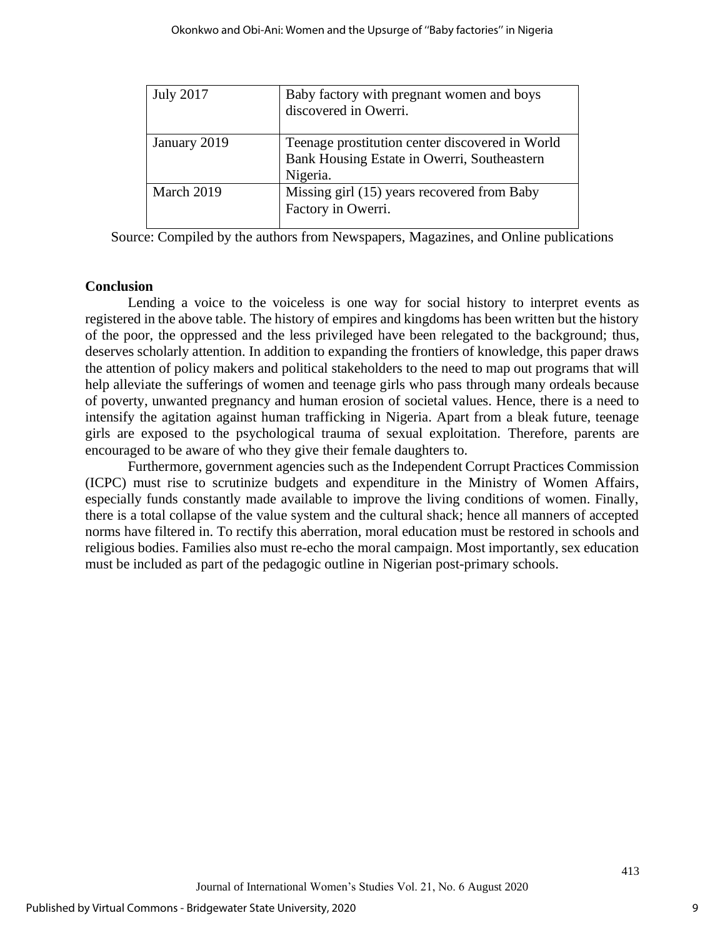| <b>July 2017</b> | Baby factory with pregnant women and boys<br>discovered in Owerri.                                         |
|------------------|------------------------------------------------------------------------------------------------------------|
| January 2019     | Teenage prostitution center discovered in World<br>Bank Housing Estate in Owerri, Southeastern<br>Nigeria. |
| March 2019       | Missing girl (15) years recovered from Baby<br>Factory in Owerri.                                          |

Source: Compiled by the authors from Newspapers, Magazines, and Online publications

# **Conclusion**

Lending a voice to the voiceless is one way for social history to interpret events as registered in the above table. The history of empires and kingdoms has been written but the history of the poor, the oppressed and the less privileged have been relegated to the background; thus, deserves scholarly attention. In addition to expanding the frontiers of knowledge, this paper draws the attention of policy makers and political stakeholders to the need to map out programs that will help alleviate the sufferings of women and teenage girls who pass through many ordeals because of poverty, unwanted pregnancy and human erosion of societal values. Hence, there is a need to intensify the agitation against human trafficking in Nigeria. Apart from a bleak future, teenage girls are exposed to the psychological trauma of sexual exploitation. Therefore, parents are encouraged to be aware of who they give their female daughters to.

Furthermore, government agencies such as the Independent Corrupt Practices Commission (ICPC) must rise to scrutinize budgets and expenditure in the Ministry of Women Affairs, especially funds constantly made available to improve the living conditions of women. Finally, there is a total collapse of the value system and the cultural shack; hence all manners of accepted norms have filtered in. To rectify this aberration, moral education must be restored in schools and religious bodies. Families also must re-echo the moral campaign. Most importantly, sex education must be included as part of the pedagogic outline in Nigerian post-primary schools.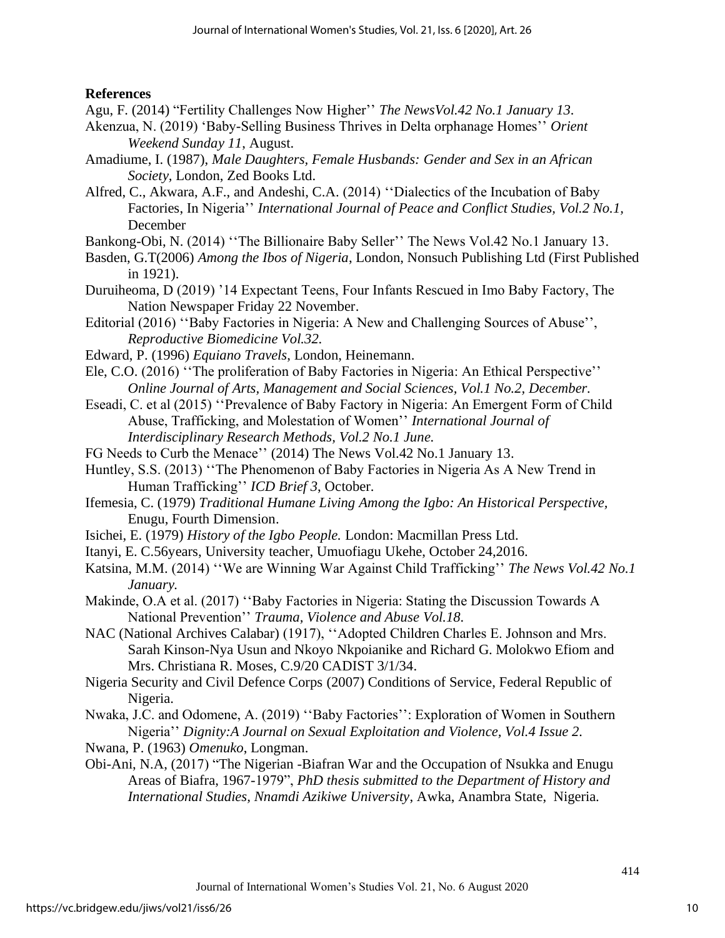# **References**

Agu, F. (2014) "Fertility Challenges Now Higher'' *The NewsVol.42 No.1 January 13.*

- Akenzua, N. (2019) 'Baby-Selling Business Thrives in Delta orphanage Homes'' *Orient Weekend Sunday 11*, August.
- Amadiume, I. (1987), *Male Daughters, Female Husbands: Gender and Sex in an African Society,* London, Zed Books Ltd.
- Alfred, C., Akwara, A.F., and Andeshi, C.A. (2014) ''Dialectics of the Incubation of Baby Factories, In Nigeria'' *International Journal of Peace and Conflict Studies, Vol.2 No.1,* December
- Bankong-Obi, N. (2014) ''The Billionaire Baby Seller'' The News Vol.42 No.1 January 13.
- Basden, G.T(2006) *Among the Ibos of Nigeria*, London, Nonsuch Publishing Ltd (First Published in 1921).
- Duruiheoma, D (2019) '14 Expectant Teens, Four Infants Rescued in Imo Baby Factory, The Nation Newspaper Friday 22 November.
- Editorial (2016) ''Baby Factories in Nigeria: A New and Challenging Sources of Abuse'', *Reproductive Biomedicine Vol.32.*
- Edward, P. (1996) *Equiano Travels*, London, Heinemann.
- Ele, C.O. (2016) ''The proliferation of Baby Factories in Nigeria: An Ethical Perspective'' *Online Journal of Arts, Management and Social Sciences, Vol.1 No.2, December.*
- Eseadi, C. et al (2015) ''Prevalence of Baby Factory in Nigeria: An Emergent Form of Child Abuse, Trafficking, and Molestation of Women'' *International Journal of Interdisciplinary Research Methods, Vol.2 No.1 June.*
- FG Needs to Curb the Menace'' (2014) The News Vol.42 No.1 January 13.
- Huntley, S.S. (2013) ''The Phenomenon of Baby Factories in Nigeria As A New Trend in Human Trafficking'' *ICD Brief 3*, October.
- Ifemesia, C. (1979) *Traditional Humane Living Among the Igbo: An Historical Perspective,* Enugu, Fourth Dimension.
- Isichei, E. (1979) *History of the Igbo People.* London: Macmillan Press Ltd.
- Itanyi, E. C.56years, University teacher, Umuofiagu Ukehe, October 24,2016.
- Katsina, M.M. (2014) ''We are Winning War Against Child Trafficking'' *The News Vol.42 No.1 January.*
- Makinde, O.A et al. (2017) ''Baby Factories in Nigeria: Stating the Discussion Towards A National Prevention'' *Trauma, Violence and Abuse Vol.18.*
- NAC (National Archives Calabar) (1917), ''Adopted Children Charles E. Johnson and Mrs. Sarah Kinson-Nya Usun and Nkoyo Nkpoianike and Richard G. Molokwo Efiom and Mrs. Christiana R. Moses, C.9/20 CADIST 3/1/34.
- Nigeria Security and Civil Defence Corps (2007) Conditions of Service, Federal Republic of Nigeria.
- Nwaka, J.C. and Odomene, A. (2019) ''Baby Factories'': Exploration of Women in Southern Nigeria'' *Dignity:A Journal on Sexual Exploitation and Violence, Vol.4 Issue 2.*
- Nwana, P. (1963) *Omenuko*, Longman.
- Obi-Ani, N.A, (2017) "The Nigerian -Biafran War and the Occupation of Nsukka and Enugu Areas of Biafra, 1967-1979", *PhD thesis submitted to the Department of History and International Studies, Nnamdi Azikiwe University*, Awka, Anambra State, Nigeria.